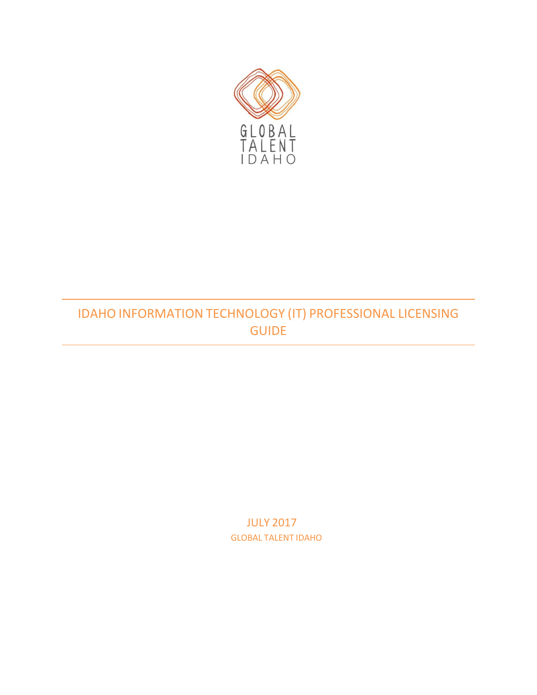<span id="page-0-0"></span>

# IDAHO INFORMATION TECHNOLOGY (IT) PROFESSIONAL LICENSING GUIDE

JULY 2017 GLOBAL TALENT IDAHO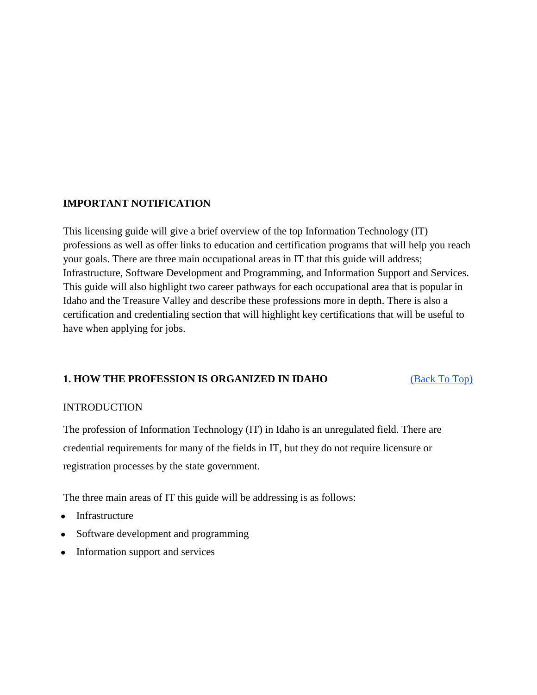### **IMPORTANT NOTIFICATION**

This licensing guide will give a brief overview of the top Information Technology (IT) professions as well as offer links to education and certification programs that will help you reach your goals. There are three main occupational areas in IT that this guide will address; Infrastructure, Software Development and Programming, and Information Support and Services. This guide will also highlight two career pathways for each occupational area that is popular in Idaho and the Treasure Valley and describe these professions more in depth. There is also a certification and credentialing section that will highlight key certifications that will be useful to have when applying for jobs.

## **1. HOW THE PROFESSION IS ORGANIZED IN IDAHO** [\(Back To Top\)](#page-0-0)

#### **INTRODUCTION**

The profession of Information Technology (IT) in Idaho is an unregulated field. There are credential requirements for many of the fields in IT, but they do not require licensure or registration processes by the state government.

The three main areas of IT this guide will be addressing is as follows:

- Infrastructure
- Software development and programming
- Information support and services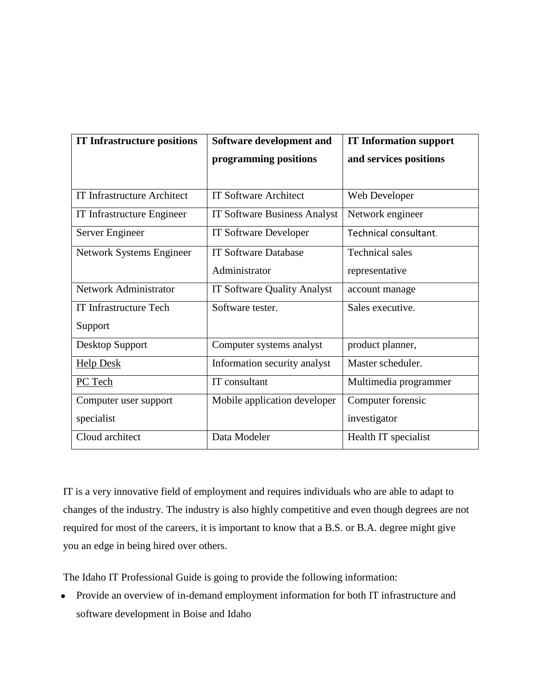| <b>IT Infrastructure positions</b> | Software development and            | <b>IT Information support</b> |
|------------------------------------|-------------------------------------|-------------------------------|
|                                    | programming positions               | and services positions        |
|                                    |                                     |                               |
| <b>IT Infrastructure Architect</b> | <b>IT Software Architect</b>        | Web Developer                 |
| IT Infrastructure Engineer         | <b>IT Software Business Analyst</b> | Network engineer              |
| Server Engineer                    | <b>IT Software Developer</b>        | Technical consultant.         |
| Network Systems Engineer           | <b>IT Software Database</b>         | <b>Technical sales</b>        |
|                                    | Administrator                       | representative                |
| Network Administrator              | <b>IT Software Quality Analyst</b>  | account manage                |
| <b>IT Infrastructure Tech</b>      | Software tester.                    | Sales executive.              |
| Support                            |                                     |                               |
| Desktop Support                    | Computer systems analyst            | product planner,              |
| <b>Help Desk</b>                   | Information security analyst        | Master scheduler.             |
| PC Tech                            | IT consultant                       | Multimedia programmer         |
| Computer user support              | Mobile application developer        | Computer forensic             |
| specialist                         |                                     | investigator                  |
| Cloud architect                    | Data Modeler                        | Health IT specialist          |

IT is a very innovative field of employment and requires individuals who are able to adapt to changes of the industry. The industry is also highly competitive and even though degrees are not required for most of the careers, it is important to know that a B.S. or B.A. degree might give you an edge in being hired over others.

The Idaho IT Professional Guide is going to provide the following information:

● Provide an overview of in-demand employment information for both IT infrastructure and software development in Boise and Idaho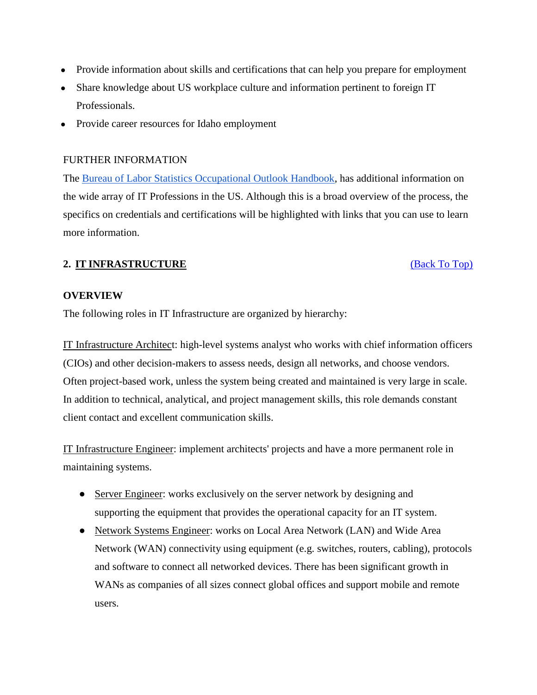- Provide information about skills and certifications that can help you prepare for employment
- Share knowledge about US workplace culture and information pertinent to foreign IT Professionals.
- Provide career resources for Idaho employment

## FURTHER INFORMATION

The [Bureau of Labor Statistics Occupational Outlook Handbook,](http://www.bls.gov/ooh/computer-and-information-technology/home.htm) has additional information on the wide array of IT Professions in the US. Although this is a broad overview of the process, the specifics on credentials and certifications will be highlighted with links that you can use to learn more information.

## **2. IT INFRASTRUCTURE** [\(Back To Top\)](#page-0-0)

## **OVERVIEW**

The following roles in IT Infrastructure are organized by hierarchy:

IT Infrastructure Architect: high-level systems analyst who works with chief information officers (CIOs) and other decision-makers to assess needs, design all networks, and choose vendors. Often project-based work, unless the system being created and maintained is very large in scale. In addition to technical, analytical, and project management skills, this role demands constant client contact and excellent communication skills.

IT Infrastructure Engineer: implement architects' projects and have a more permanent role in maintaining systems.

- Server Engineer: works exclusively on the server network by designing and supporting the equipment that provides the operational capacity for an IT system.
- Network Systems Engineer: works on Local Area Network (LAN) and Wide Area Network (WAN) connectivity using equipment (e.g. switches, routers, cabling), protocols and software to connect all networked devices. There has been significant growth in WANs as companies of all sizes connect global offices and support mobile and remote users.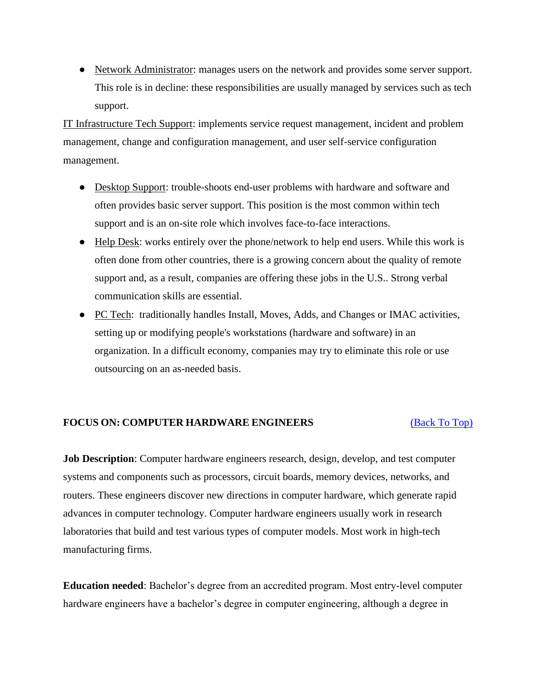• Network Administrator: manages users on the network and provides some server support. This role is in decline: these responsibilities are usually managed by services such as tech support.

IT Infrastructure Tech Support: implements service request management, incident and problem management, change and configuration management, and user self-service configuration management.

- Desktop Support: trouble-shoots end-user problems with hardware and software and often provides basic server support. This position is the most common within tech support and is an on-site role which involves face-to-face interactions.
- Help Desk: works entirely over the phone/network to help end users. While this work is often done from other countries, there is a growing concern about the quality of remote support and, as a result, companies are offering these jobs in the U.S.. Strong verbal communication skills are essential.
- PC Tech: traditionally handles Install, Moves, Adds, and Changes or IMAC activities, setting up or modifying people's workstations (hardware and software) in an organization. In a difficult economy, companies may try to eliminate this role or use outsourcing on an as-needed basis.

#### **FOCUS ON: COMPUTER HARDWARE ENGINEERS** [\(Back To Top\)](#page-0-0)

**Job Description**: Computer hardware engineers research, design, develop, and test computer systems and components such as processors, circuit boards, memory devices, networks, and routers. These engineers discover new directions in computer hardware, which generate rapid advances in computer technology. Computer hardware engineers usually work in research laboratories that build and test various types of computer models. Most work in high-tech manufacturing firms.

**Education needed**: Bachelor's degree from an accredited program. Most entry-level computer hardware engineers have a bachelor's degree in computer engineering, although a degree in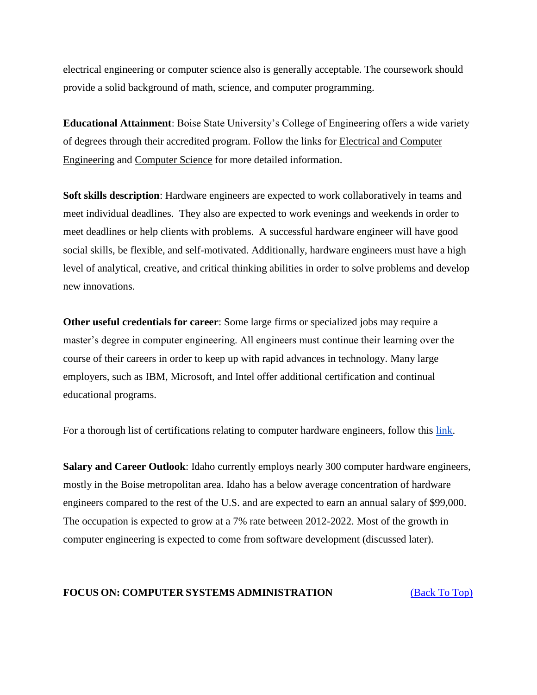electrical engineering or computer science also is generally acceptable. The coursework should provide a solid background of math, science, and computer programming.

**Educational Attainment**: Boise State University's College of Engineering offers a wide variety of degrees through their accredited program. Follow the links for [Electrical and Computer](http://coen.boisestate.edu/ece/)  [Engineering](http://coen.boisestate.edu/ece/) and [Computer Science](http://coen.boisestate.edu/cs/) for more detailed information.

**Soft skills description**: Hardware engineers are expected to work collaboratively in teams and meet individual deadlines. They also are expected to work evenings and weekends in order to meet deadlines or help clients with problems. A successful hardware engineer will have good social skills, be flexible, and self-motivated. Additionally, hardware engineers must have a high level of analytical, creative, and critical thinking abilities in order to solve problems and develop new innovations.

**Other useful credentials for career**: Some large firms or specialized jobs may require a master's degree in computer engineering. All engineers must continue their learning over the course of their careers in order to keep up with rapid advances in technology. Many large employers, such as IBM, Microsoft, and Intel offer additional certification and continual educational programs.

For a thorough list of certifications relating to computer hardware engineers, follow thi[s](http://www.careeronestop.org/toolkit/training/find-certifications.aspx?keyword=Computer%20Hardware%20Engineers&ajax=occ&direct=0) [link.](http://www.careeronestop.org/toolkit/training/find-certifications.aspx?keyword=Computer%20Hardware%20Engineers&ajax=occ&direct=0)

**Salary and Career Outlook**: Idaho currently employs nearly 300 computer hardware engineers, mostly in the Boise metropolitan area. Idaho has a below average concentration of hardware engineers compared to the rest of the U.S. and are expected to earn an annual salary of \$99,000. The occupation is expected to grow at a 7% rate between 2012-2022. Most of the growth in computer engineering is expected to come from software development (discussed later).

#### **FOCUS ON: COMPUTER SYSTEMS ADMINISTRATION** [\(Back To Top\)](#page-0-0)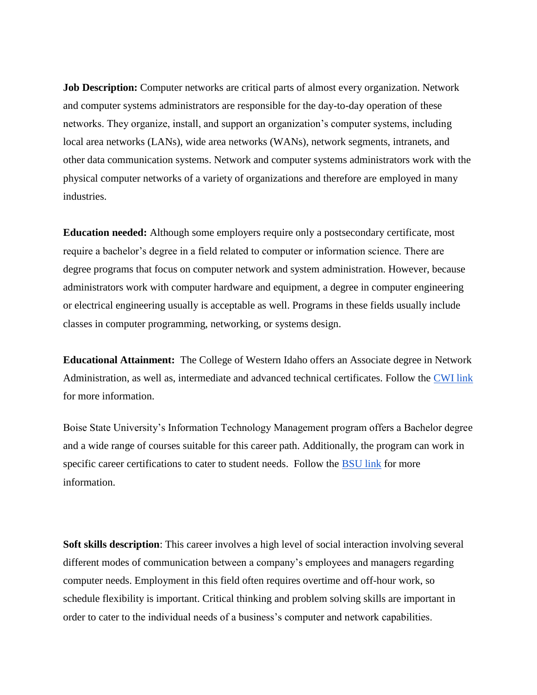**Job Description:** Computer networks are critical parts of almost every organization. Network and computer systems administrators are responsible for the day-to-day operation of these networks. They organize, install, and support an organization's computer systems, including local area networks (LANs), wide area networks (WANs), network segments, intranets, and other data communication systems. Network and computer systems administrators work with the physical computer networks of a variety of organizations and therefore are employed in many industries.

**Education needed:** Although some employers require only a postsecondary certificate, most require a bachelor's degree in a field related to computer or information science. There are degree programs that focus on computer network and system administration. However, because administrators work with computer hardware and equipment, a degree in computer engineering or electrical engineering usually is acceptable as well. Programs in these fields usually include classes in computer programming, networking, or systems design.

**Educational Attainment:** The College of Western Idaho offers an Associate degree in Network Administration, as well as, intermediate and advanced technical certificates. Follow the [CWI link](http://cwidaho.cc/program/network-administration#overview) for more information.

Boise State University's Information Technology Management program offers a Bachelor degree and a wide range of courses suitable for this career path. Additionally, the program can work in specific career certifications to cater to student needs. Follow the [BSU link](https://cobe.boisestate.edu/itscm/majors-and-courses/it-management/) for more information.

**Soft skills description**: This career involves a high level of social interaction involving several different modes of communication between a company's employees and managers regarding computer needs. Employment in this field often requires overtime and off-hour work, so schedule flexibility is important. Critical thinking and problem solving skills are important in order to cater to the individual needs of a business's computer and network capabilities.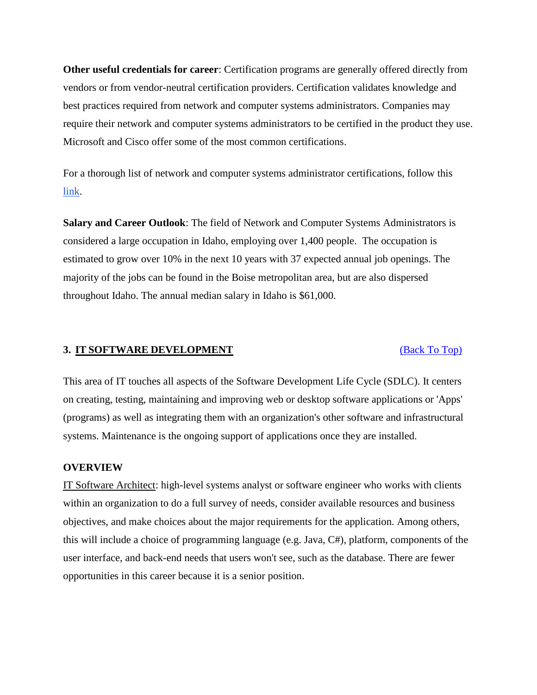**Other useful credentials for career**: Certification programs are generally offered directly from vendors or from vendor-neutral certification providers. Certification validates knowledge and best practices required from network and computer systems administrators. Companies may require their network and computer systems administrators to be certified in the product they use. Microsoft and Cisco offer some of the most common certifications.

For a thorough list of network and computer systems administrator certifications, follow thi[s](http://www.careeroverview.com/usa/idaho/boise/computers-and-mathematics/computer/network-and-computer-systems-administrator/) [link.](http://www.careeroverview.com/usa/idaho/boise/computers-and-mathematics/computer/network-and-computer-systems-administrator/)

**Salary and Career Outlook**: The field of Network and Computer Systems Administrators is considered a large occupation in Idaho, employing over 1,400 people. The occupation is estimated to grow over 10% in the next 10 years with 37 expected annual job openings. The majority of the jobs can be found in the Boise metropolitan area, but are also dispersed throughout Idaho. The annual median salary in Idaho is \$61,000.

#### **3. IT SOFTWARE DEVELOPMENT** [\(Back To Top\)](#page-0-0)

This area of IT touches all aspects of the Software Development Life Cycle (SDLC). It centers on creating, testing, maintaining and improving web or desktop software applications or 'Apps' (programs) as well as integrating them with an organization's other software and infrastructural systems. Maintenance is the ongoing support of applications once they are installed.

#### **OVERVIEW**

IT Software Architect: high-level systems analyst or software engineer who works with clients within an organization to do a full survey of needs, consider available resources and business objectives, and make choices about the major requirements for the application. Among others, this will include a choice of programming language (e.g. Java, C#), platform, components of the user interface, and back-end needs that users won't see, such as the database. There are fewer opportunities in this career because it is a senior position.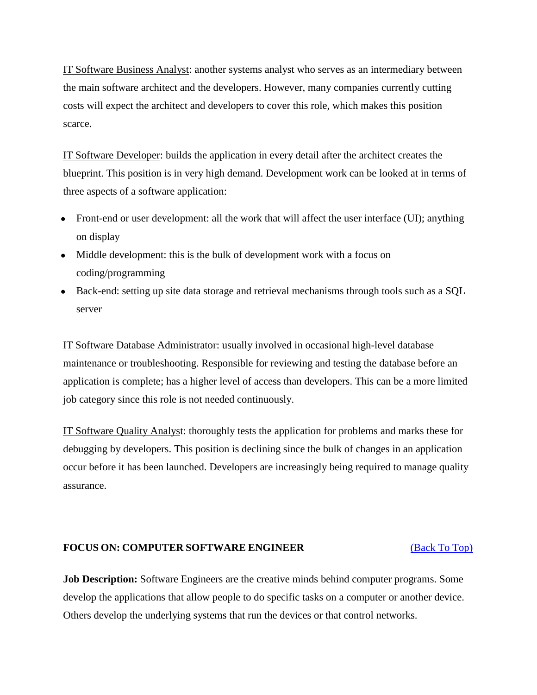IT Software Business Analyst: another systems analyst who serves as an intermediary between the main software architect and the developers. However, many companies currently cutting costs will expect the architect and developers to cover this role, which makes this position scarce.

IT Software Developer: builds the application in every detail after the architect creates the blueprint. This position is in very high demand. Development work can be looked at in terms of three aspects of a software application:

- Front-end or user development: all the work that will affect the user interface (UI); anything on display
- Middle development: this is the bulk of development work with a focus on coding/programming
- Back-end: setting up site data storage and retrieval mechanisms through tools such as a SQL server

IT Software Database Administrator: usually involved in occasional high-level database maintenance or troubleshooting. Responsible for reviewing and testing the database before an application is complete; has a higher level of access than developers. This can be a more limited job category since this role is not needed continuously.

IT Software Quality Analyst: thoroughly tests the application for problems and marks these for debugging by developers. This position is declining since the bulk of changes in an application occur before it has been launched. Developers are increasingly being required to manage quality assurance.

#### **FOCUS ON: COMPUTER SOFTWARE ENGINEER** [\(Back To Top\)](#page-0-0)

**Job Description:** Software Engineers are the creative minds behind computer programs. Some develop the applications that allow people to do specific tasks on a computer or another device. Others develop the underlying systems that run the devices or that control networks.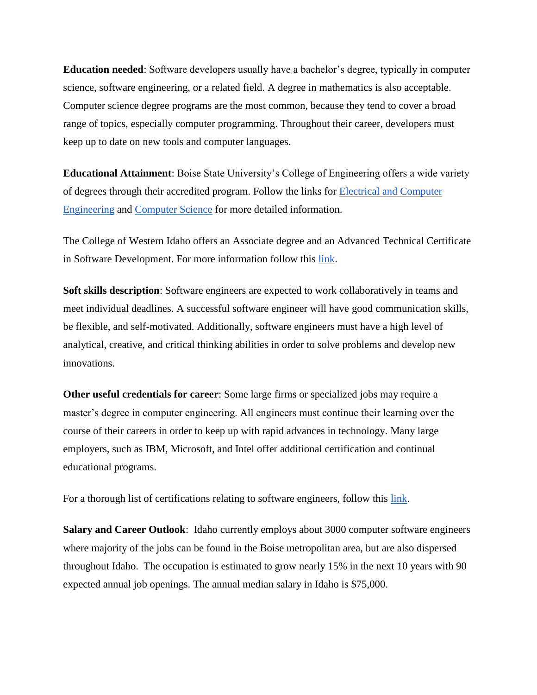**Education needed**: Software developers usually have a bachelor's degree, typically in computer science, software engineering, or a related field. A degree in mathematics is also acceptable. Computer science degree programs are the most common, because they tend to cover a broad range of topics, especially computer programming. Throughout their career, developers must keep up to date on new tools and computer languages.

**Educational Attainment**: Boise State University's College of Engineering offers a wide variety of degrees through their accredited program. Follow the links for [Electrical and Computer](http://coen.boisestate.edu/ece/)  [Engineering](http://coen.boisestate.edu/ece/) and [Computer Science](http://coen.boisestate.edu/cs/) for more detailed information.

The College of Western Idaho offers an Associate degree and an Advanced Technical Certificate in Software Development. For more information follow thi[s](http://cwidaho.cc/program/software-development#overview) [link.](http://cwidaho.cc/program/software-development#overview)

**Soft skills description**: Software engineers are expected to work collaboratively in teams and meet individual deadlines. A successful software engineer will have good communication skills, be flexible, and self-motivated. Additionally, software engineers must have a high level of analytical, creative, and critical thinking abilities in order to solve problems and develop new innovations.

**Other useful credentials for career**: Some large firms or specialized jobs may require a master's degree in computer engineering. All engineers must continue their learning over the course of their careers in order to keep up with rapid advances in technology. Many large employers, such as IBM, Microsoft, and Intel offer additional certification and continual educational programs.

For a thorough li[s](http://www.careeroverview.com/usa/idaho/boise/computers-and-mathematics/computer/software-engineer/)t of certifications relating to software engineers, follow this [link.](http://www.careeroverview.com/usa/idaho/boise/computers-and-mathematics/computer/software-engineer/)

**Salary and Career Outlook**: Idaho currently employs about 3000 computer software engineers where majority of the jobs can be found in the Boise metropolitan area, but are also dispersed throughout Idaho. The occupation is estimated to grow nearly 15% in the next 10 years with 90 expected annual job openings. The annual median salary in Idaho is \$75,000.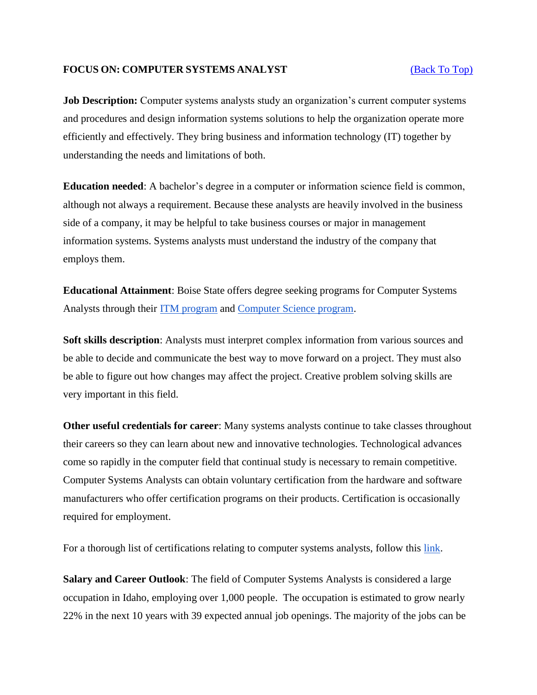#### **FOCUS ON: COMPUTER SYSTEMS ANALYST** [\(Back To Top\)](#page-0-0)

**Job Description:** Computer systems analysts study an organization's current computer systems and procedures and design information systems solutions to help the organization operate more efficiently and effectively. They bring business and information technology (IT) together by understanding the needs and limitations of both.

**Education needed**: A bachelor's degree in a computer or information science field is common, although not always a requirement. Because these analysts are heavily involved in the business side of a company, it may be helpful to take business courses or major in management information systems. Systems analysts must understand the industry of the company that employs them.

**Educational Attainment**: Boise State offers degree seeking programs for Computer Systems Analysts through their [ITM program](https://cobe.boisestate.edu/itscm/majors-and-courses/it-management/) and [Computer Science program.](http://coen.boisestate.edu/cs/undergraduates/bscs/)

**Soft skills description**: Analysts must interpret complex information from various sources and be able to decide and communicate the best way to move forward on a project. They must also be able to figure out how changes may affect the project. Creative problem solving skills are very important in this field.

**Other useful credentials for career**: Many systems analysts continue to take classes throughout their careers so they can learn about new and innovative technologies. Technological advances come so rapidly in the computer field that continual study is necessary to remain competitive. Computer Systems Analysts can obtain voluntary certification from the hardware and software manufacturers who offer certification programs on their products. Certification is occasionally required for employment.

For a thorough list of certifications relating to computer systems analysts, follow this [link.](http://www.careeroverview.com/usa/idaho/boise/computers-and-mathematics/computer/computer-systems-analyst/)

**Salary and Career Outlook**: The field of Computer Systems Analysts is considered a large occupation in Idaho, employing over 1,000 people. The occupation is estimated to grow nearly 22% in the next 10 years with 39 expected annual job openings. The majority of the jobs can be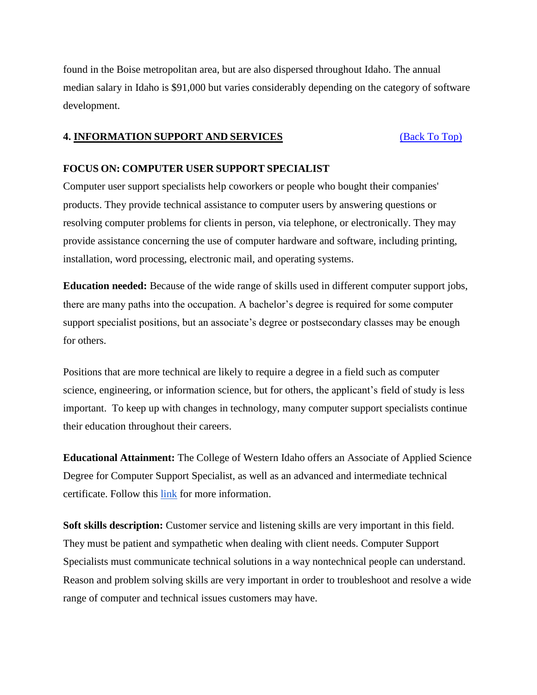found in the Boise metropolitan area, but are also dispersed throughout Idaho. The annual median salary in Idaho is \$91,000 but varies considerably depending on the category of software development.

#### **4. INFORMATION SUPPORT AND SERVICES** [\(Back To Top\)](#page-0-0)

#### **FOCUS ON: COMPUTER USER SUPPORT SPECIALIST**

Computer user support specialists help coworkers or people who bought their companies' products. They provide technical assistance to computer users by answering questions or resolving computer problems for clients in person, via telephone, or electronically. They may provide assistance concerning the use of computer hardware and software, including printing, installation, word processing, electronic mail, and operating systems.

**Education needed:** Because of the wide range of skills used in different computer support jobs, there are many paths into the occupation. A bachelor's degree is required for some computer support specialist positions, but an associate's degree or postsecondary classes may be enough for others.

Positions that are more technical are likely to require a degree in a field such as computer science, engineering, or information science, but for others, the applicant's field of study is less important. To keep up with changes in technology, many computer support specialists continue their education throughout their careers.

**Educational Attainment:** The College of Western Idaho offers an Associate of Applied Science Degree for Computer Support Specialist, as well as an advanced and intermediate technical certificate. Follow this [link](http://cwidaho.cc/program/computer-support-specialist#overview) for more information.

**Soft skills description:** Customer service and listening skills are very important in this field. They must be patient and sympathetic when dealing with client needs. Computer Support Specialists must communicate technical solutions in a way nontechnical people can understand. Reason and problem solving skills are very important in order to troubleshoot and resolve a wide range of computer and technical issues customers may have.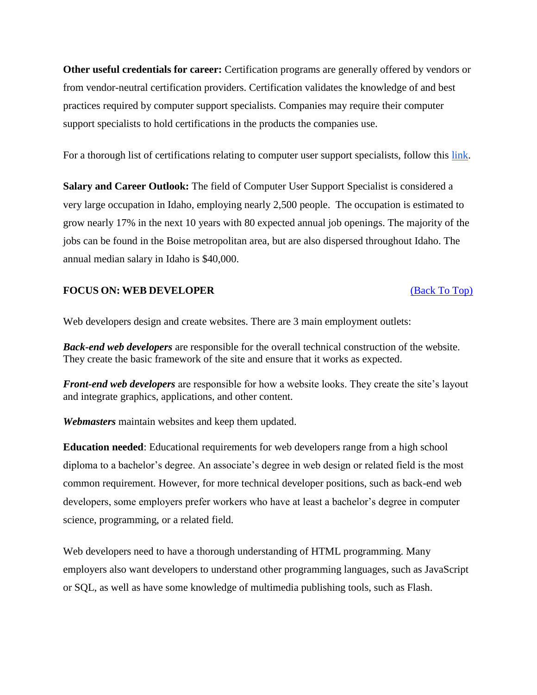**Other useful credentials for career:** Certification programs are generally offered by vendors or from vendor-neutral certification providers. Certification validates the knowledge of and best practices required by computer support specialists. Companies may require their computer support specialists to hold certifications in the products the companies use.

For a thorough list of certifications relating to computer user support specialists, follow thi[s](http://www.careeronestop.org/toolkit/training/find-certifications.aspx?keyword=Computer%20User%20Support%20Specialists&direct=0) [link.](http://www.careeronestop.org/toolkit/training/find-certifications.aspx?keyword=Computer%20User%20Support%20Specialists&direct=0)

**Salary and Career Outlook:** The field of Computer User Support Specialist is considered a very large occupation in Idaho, employing nearly 2,500 people. The occupation is estimated to grow nearly 17% in the next 10 years with 80 expected annual job openings. The majority of the jobs can be found in the Boise metropolitan area, but are also dispersed throughout Idaho. The annual median salary in Idaho is \$40,000.

#### **FOCUS ON: WEB DEVELOPER** [\(Back To Top\)](#page-0-0)

Web developers design and create websites. There are 3 main employment outlets:

*Back-end web developers* are responsible for the overall technical construction of the website. They create the basic framework of the site and ensure that it works as expected.

*Front-end web developers* are responsible for how a website looks. They create the site's layout and integrate graphics, applications, and other content.

*Webmasters* maintain websites and keep them updated.

**Education needed**: Educational requirements for web developers range from a high school diploma to a bachelor's degree. An associate's degree in web design or related field is the most common requirement. However, for more technical developer positions, such as back-end web developers, some employers prefer workers who have at least a bachelor's degree in computer science, programming, or a related field.

Web developers need to have a thorough understanding of HTML programming. Many employers also want developers to understand other programming languages, such as JavaScript or SQL, as well as have some knowledge of multimedia publishing tools, such as Flash.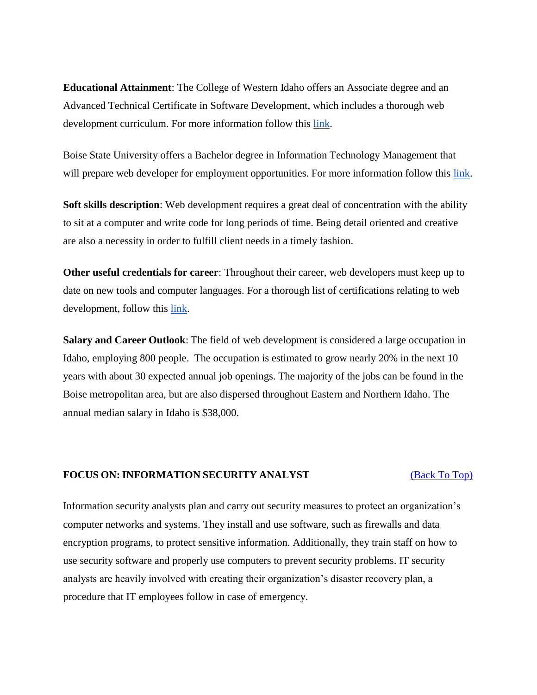**Educational Attainment**: The College of Western Idaho offers an Associate degree and an Advanced Technical Certificate in Software Development, which includes a thorough web development curriculum. For more information follow this [link.](http://cwidaho.cc/program/software-development#overview)

Boise State University offers a Bachelor degree in Information Technology Management that will prepare web developer for employment opportunitie[s](https://cobe.boisestate.edu/itscm/majors-and-courses/it-management/). For more information follow this [link.](https://cobe.boisestate.edu/itscm/majors-and-courses/it-management/)

**Soft skills description**: Web development requires a great deal of concentration with the ability to sit at a computer and write code for long periods of time. Being detail oriented and creative are also a necessity in order to fulfill client needs in a timely fashion.

**Other useful credentials for career**: Throughout their career, web developers must keep up to date on new tools and computer languages. For a thorough list of certifications relating to web development, follow thi[s](http://www.careeronestop.org/toolkit/training/find-certifications.aspx?keyword=Web%20Developers&direct=I) [link.](http://www.careeronestop.org/toolkit/training/find-certifications.aspx?keyword=Web%20Developers&direct=I)

**Salary and Career Outlook**: The field of web development is considered a large occupation in Idaho, employing 800 people. The occupation is estimated to grow nearly 20% in the next 10 years with about 30 expected annual job openings. The majority of the jobs can be found in the Boise metropolitan area, but are also dispersed throughout Eastern and Northern Idaho. The annual median salary in Idaho is \$38,000.

#### **FOCUS ON: INFORMATION SECURITY ANALYST** [\(Back To Top\)](#page-0-0)

Information security analysts plan and carry out security measures to protect an organization's computer networks and systems. They install and use software, such as firewalls and data encryption programs, to protect sensitive information. Additionally, they train staff on how to use security software and properly use computers to prevent security problems. IT security analysts are heavily involved with creating their organization's disaster recovery plan, a procedure that IT employees follow in case of emergency.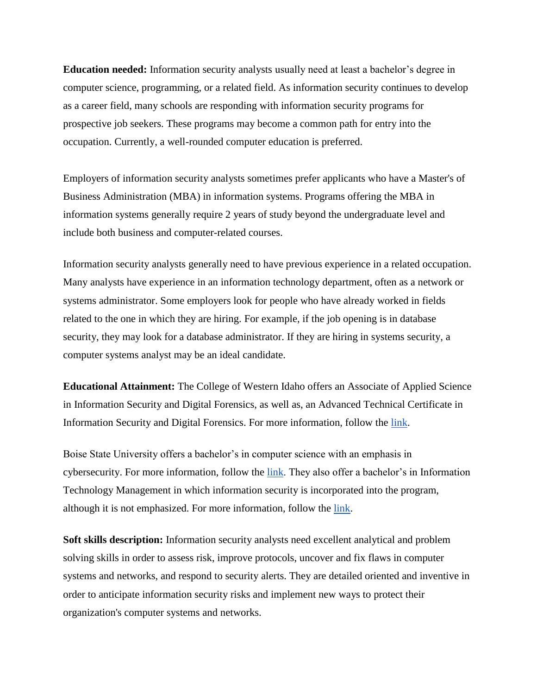**Education needed:** Information security analysts usually need at least a bachelor's degree in computer science, programming, or a related field. As information security continues to develop as a career field, many schools are responding with information security programs for prospective job seekers. These programs may become a common path for entry into the occupation. Currently, a well-rounded computer education is preferred.

Employers of information security analysts sometimes prefer applicants who have a Master's of Business Administration (MBA) in information systems. Programs offering the MBA in information systems generally require 2 years of study beyond the undergraduate level and include both business and computer-related courses.

Information security analysts generally need to have previous experience in a related occupation. Many analysts have experience in an information technology department, often as a network or systems administrator. Some employers look for people who have already worked in fields related to the one in which they are hiring. For example, if the job opening is in database security, they may look for a database administrator. If they are hiring in systems security, a computer systems analyst may be an ideal candidate.

**Educational Attainment:** The College of Western Idaho offers an Associate of Applied Science in Information Security and Digital Forensics, as well as, an Advanced Technical Certificate in Information Security and Digital Forensics. For more information, follow the [link.](http://cwidaho.cc/program/information-security-and-digital-forensics#overview)

Boise State University offers a bachelor's in computer science with an emphasis in cybersecurity. For more information, follow the [link.](https://registrar.boisestate.edu/undergraduate/program-list/p-compsci/) They also offer a bachelor's in Information Technology Management in which information security is incorporated into the program, although it is not emphasized. For more information, follow the [link.](https://cobe.boisestate.edu/itscm/majors-and-courses/it-management/)

**Soft skills description:** Information security analysts need excellent analytical and problem solving skills in order to assess risk, improve protocols, uncover and fix flaws in computer systems and networks, and respond to security alerts. They are detailed oriented and inventive in order to anticipate information security risks and implement new ways to protect their organization's computer systems and networks.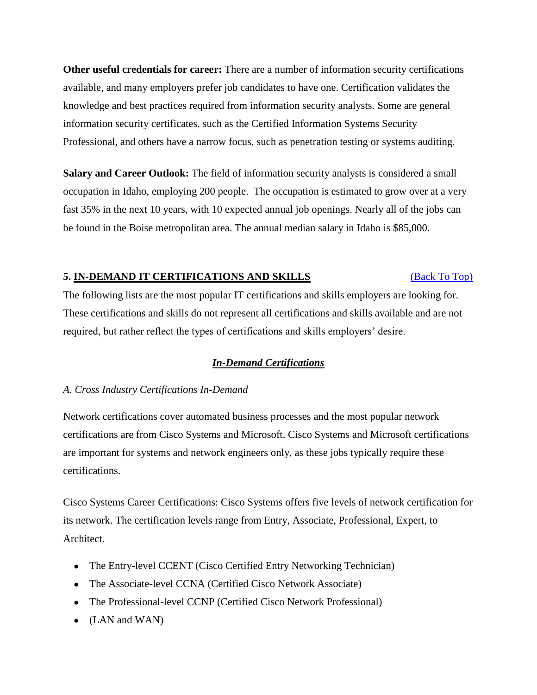**Other useful credentials for career:** There are a number of information security certifications available, and many employers prefer job candidates to have one. Certification validates the knowledge and best practices required from information security analysts. Some are general information security certificates, such as the Certified Information Systems Security Professional, and others have a narrow focus, such as penetration testing or systems auditing.

**Salary and Career Outlook:** The field of information security analysts is considered a small occupation in Idaho, employing 200 people. The occupation is estimated to grow over at a very fast 35% in the next 10 years, with 10 expected annual job openings. Nearly all of the jobs can be found in the Boise metropolitan area. The annual median salary in Idaho is \$85,000.

### **5. IN-DEMAND IT CERTIFICATIONS AND SKILLS** [\(Back To Top\)](#page-0-0)

[Th](#page-0-0)e following lists are the most popular IT certifications and skills employers are looking for. These certifications and skills do not represent all certifications and skills available and are not required, but rather reflect the types of certifications and skills employers' desire.

## *In-Demand Certifications*

## *A. Cross Industry Certifications In-Demand*

Network certifications cover automated business processes and the most popular network certifications are from Cisco Systems and Microsoft. Cisco Systems and Microsoft certifications are important for systems and network engineers only, as these jobs typically require these certifications.

Cisco Systems Career Certifications: Cisco Systems offers five levels of network certification for its network. The certification levels range from Entry, Associate, Professional, Expert, to Architect.

- The Entry-level CCENT (Cisco Certified Entry Networking Technician)
- The Associate-level CCNA (Certified Cisco Network Associate)
- The Professional-level CCNP (Certified Cisco Network Professional)
- $\bullet$  (LAN and WAN)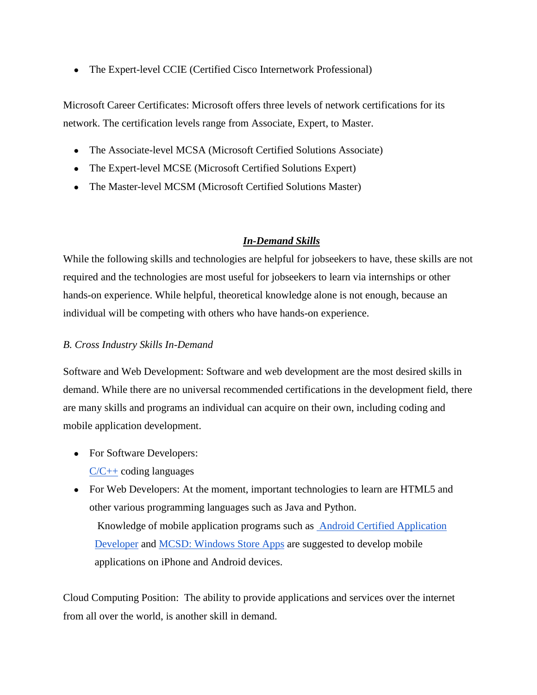• The Expert-level CCIE (Certified Cisco Internetwork Professional)

Microsoft Career Certificates: Microsoft offers three levels of network certifications for its network. The certification levels range from Associate, Expert, to Master.

- The Associate-level MCSA (Microsoft Certified Solutions Associate)
- The Expert-level MCSE (Microsoft Certified Solutions Expert)
- The Master-level MCSM (Microsoft Certified Solutions Master)

## *In-Demand Skills*

While the following skills and technologies are helpful for jobseekers to have, these skills are not required and the technologies are most useful for jobseekers to learn via internships or other hands-on experience. While helpful, theoretical knowledge alone is not enough, because an individual will be competing with others who have hands-on experience.

## *B. Cross Industry Skills In-Demand*

Software and Web Development: Software and web development are the most desired skills in demand. While there are no universal recommended certifications in the development field, there are many skills and programs an individual can acquire on their own, including coding and mobile application development.

- For Software Developers:  $C/C++$  coding languages
- For Web Developers: At the moment, important technologies to learn are HTML5 and other various programming languages such as Java and Python.

Knowledge of mobile application programs such as [Android Certified Application](http://www.androidatc.com/pages-16/Android-Certified-Application-Developer)  [Developer](http://www.androidatc.com/pages-16/Android-Certified-Application-Developer) and [MCSD: Windows Store Apps](https://www.microsoft.com/en-us/learning/mcsd-windows-store-apps-certification.aspx) are suggested to develop mobile applications on iPhone and Android devices.

Cloud Computing Position: The ability to provide applications and services over the internet from all over the world, is another skill in demand.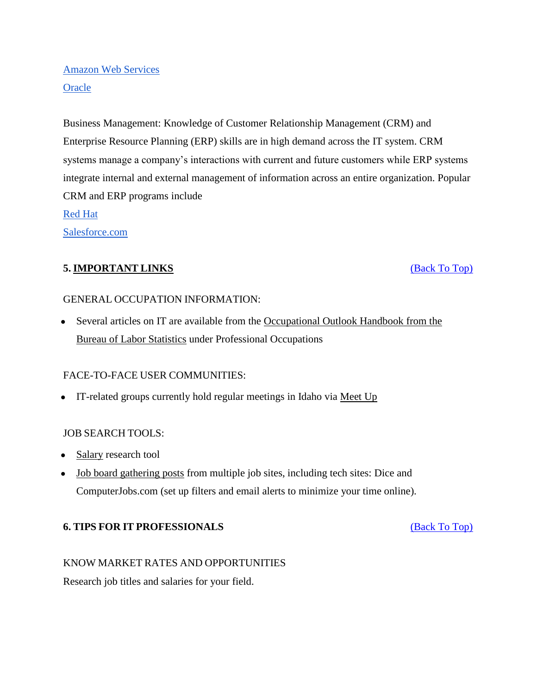# [Amazon Web Services](https://aws.amazon.com/certification/) **[Oracle](http://education.oracle.com/pls/web_prod-plq-dad/db_pages.getpage?page_id=3)**

Business Management: Knowledge of Customer Relationship Management (CRM) and Enterprise Resource Planning (ERP) skills are in high demand across the IT system. CRM systems manage a company's interactions with current and future customers while ERP systems integrate internal and external management of information across an entire organization. Popular CRM and ERP programs include [Red Hat](https://www.redhat.com/en/services/certification/rhcjd)

[Salesforce.com](http://certification.salesforce.com/developers)

## **5. IMPORTANT LINKS** [\(Back To Top\)](#page-0-0)

## GENERAL OCCUPATION INFORMATION:

• Several articles on IT are available from the Occupational Outlook Handbook from the [Bureau of Labor Statistics](http://www.bls.gov/ooh/computer-and-information-technology/home.htm) under Professional Occupations

## FACE-TO-FACE USER COMMUNITIES:

• IT-related groups currently hold regular meetings in Idaho via [Meet](http://www.meetup.com/) U[p](http://www.meetup.com/)

## JOB SEARCH TOOLS:

- [Salary](http://www.salary.com/) research tool
- [Job board gathering posts](http://www.indeed.com/) from multiple job sites, including tech sites: Dice and ComputerJobs.com (set up filters and email alerts to minimize your time online).

## **6. TIPS FOR IT PROFESSIONALS** [\(Back To Top\)](#page-0-0)

## KNOW MARKET RATES AND OPPORTUNITIES

Research job titles and salaries for your field.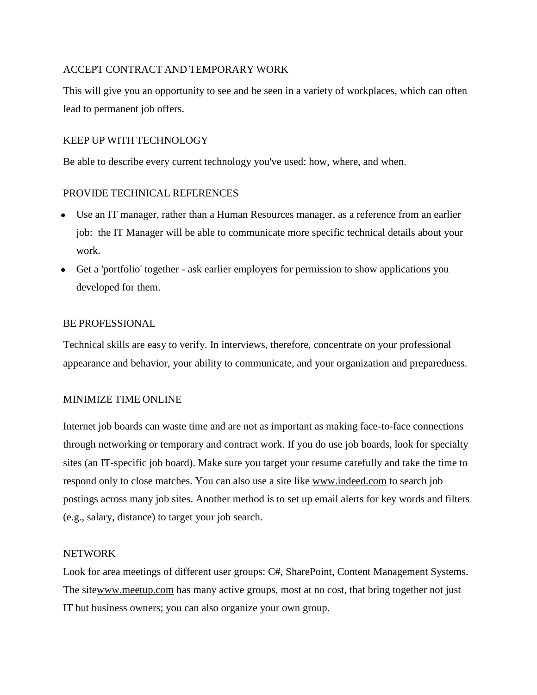## ACCEPT CONTRACT AND TEMPORARY WORK

This will give you an opportunity to see and be seen in a variety of workplaces, which can often lead to permanent job offers.

### KEEP UP WITH TECHNOLOGY

Be able to describe every current technology you've used: how, where, and when.

### PROVIDE TECHNICAL REFERENCES

- Use an IT manager, rather than a Human Resources manager, as a reference from an earlier job: the IT Manager will be able to communicate more specific technical details about your work.
- Get a 'portfolio' together ask earlier employers for permission to show applications you developed for them.

#### BE PROFESSIONAL

Technical skills are easy to verify. In interviews, therefore, concentrate on your professional appearance and behavior, your ability to communicate, and your organization and preparedness.

#### MINIMIZE TIME ONLINE

Internet job boards can waste time and are not as important as making face-to-face connections through networking or temporary and contract work. If you do use job boards, look for specialty sites (an IT-specific job board). Make sure you target your resume carefully and take the time to respond only to close matches. You can also use a site like [www.indeed.com](http://www.indeed.com/) to search job postings across many job sites. Another method is to set up email alerts for key words and filters (e.g., salary, distance) to target your job search.

#### NETWORK

Look for area meetings of different user groups: C#, SharePoint, Content Management Systems. The sit[ewww.meetup.com](http://www.meetup.com/) has many active groups, most at no cost, that bring together not just IT but business owners; you can also organize your own group.